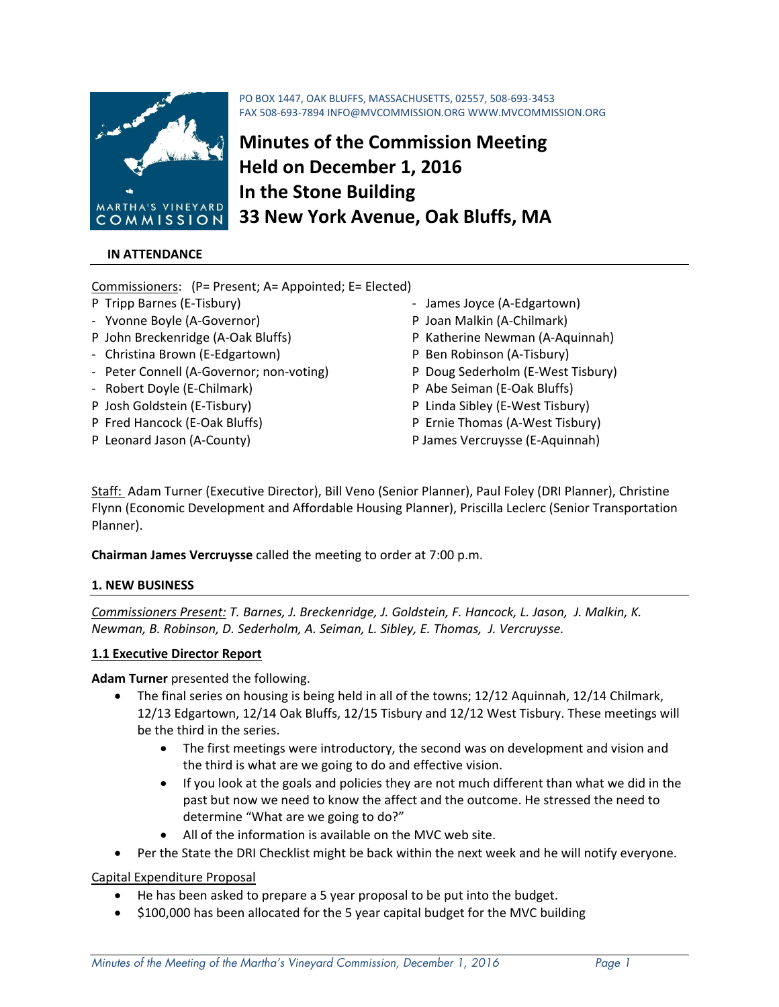

# **IN ATTENDANCE**

Commissioners: (P= Present; A= Appointed; E= Elected)

- 
- ‐ Yvonne Boyle (A‐Governor) P Joan Malkin (A‐Chilmark)
- 
- ‐ Christina Brown (E‐Edgartown) P Ben Robinson (A‐Tisbury)
- Peter Connell (A-Governor; non-voting) P Doug Sederholm (E-West Tisbury)
- ‐ Robert Doyle (E‐Chilmark) P Abe Seiman (E‐Oak Bluffs)
- 
- 
- 
- P Tripp Barnes (E‐Tisbury) ‐ James Joyce (A‐Edgartown)
	-
- P John Breckenridge (A‐Oak Bluffs) P Katherine Newman (A‐Aquinnah)
	-
	-
	-
- P Josh Goldstein (E‐Tisbury) P Linda Sibley (E‐West Tisbury)
- P Fred Hancock (E‐Oak Bluffs) P Ernie Thomas (A‐West Tisbury)
- P Leonard Jason (A‐County) P James Vercruysse (E‐Aquinnah)

Staff: Adam Turner (Executive Director), Bill Veno (Senior Planner), Paul Foley (DRI Planner), Christine Flynn (Economic Development and Affordable Housing Planner), Priscilla Leclerc (Senior Transportation Planner).

PO BOX 1447, OAK BLUFFS, MASSACHUSETTS, 02557, 508‐693‐3453

**Minutes of the Commission Meeting**

**33 New York Avenue, Oak Bluffs, MA**

**Held on December 1, 2016** 

**In the Stone Building**

FAX 508‐693‐7894 INFO@MVCOMMISSION.ORG WWW.MVCOMMISSION.ORG

**Chairman James Vercruysse** called the meeting to order at 7:00 p.m.

#### **1. NEW BUSINESS**

*Commissioners Present: T. Barnes, J. Breckenridge, J. Goldstein, F. Hancock, L. Jason, J. Malkin, K. Newman, B. Robinson, D. Sederholm, A. Seiman, L. Sibley, E. Thomas, J. Vercruysse.*

#### **1.1 Executive Director Report**

**Adam Turner** presented the following.

- The final series on housing is being held in all of the towns; 12/12 Aquinnah, 12/14 Chilmark, 12/13 Edgartown, 12/14 Oak Bluffs, 12/15 Tisbury and 12/12 West Tisbury. These meetings will be the third in the series.
	- The first meetings were introductory, the second was on development and vision and the third is what are we going to do and effective vision.
	- If you look at the goals and policies they are not much different than what we did in the past but now we need to know the affect and the outcome. He stressed the need to determine "What are we going to do?"
	- All of the information is available on the MVC web site.
- Per the State the DRI Checklist might be back within the next week and he will notify everyone.

Capital Expenditure Proposal

- He has been asked to prepare a 5 year proposal to be put into the budget.
- \$100,000 has been allocated for the 5 year capital budget for the MVC building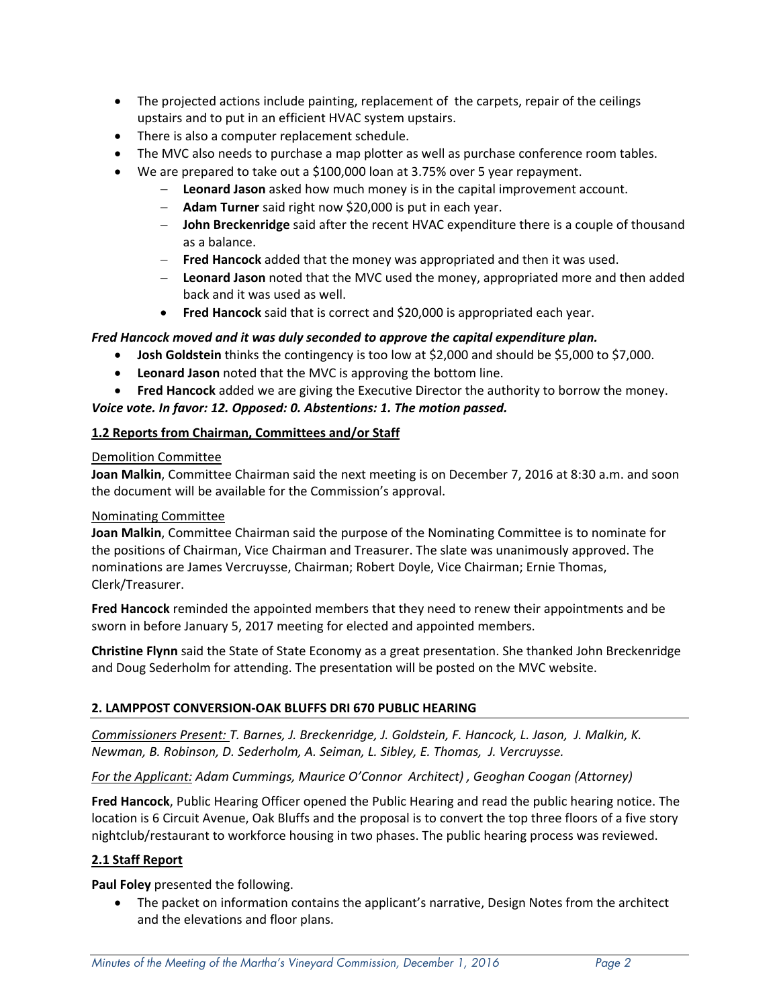- The projected actions include painting, replacement of the carpets, repair of the ceilings upstairs and to put in an efficient HVAC system upstairs.
- There is also a computer replacement schedule.
- The MVC also needs to purchase a map plotter as well as purchase conference room tables.
- We are prepared to take out a \$100,000 loan at 3.75% over 5 year repayment.
	- **Leonard Jason** asked how much money is in the capital improvement account.
	- **Adam Turner** said right now \$20,000 is put in each year.
	- **John Breckenridge** said after the recent HVAC expenditure there is a couple of thousand as a balance.
	- **Fred Hancock** added that the money was appropriated and then it was used.
	- **Leonard Jason** noted that the MVC used the money, appropriated more and then added back and it was used as well.
	- **Fred Hancock** said that is correct and \$20,000 is appropriated each year.

# *Fred Hancock moved and it was duly seconded to approve the capital expenditure plan.*

- **Josh Goldstein** thinks the contingency is too low at \$2,000 and should be \$5,000 to \$7,000.
- **Leonard Jason** noted that the MVC is approving the bottom line.
- **Fred Hancock** added we are giving the Executive Director the authority to borrow the money.

# *Voice vote. In favor: 12. Opposed: 0. Abstentions: 1. The motion passed.*

# **1.2 Reports from Chairman, Committees and/or Staff**

### Demolition Committee

**Joan Malkin**, Committee Chairman said the next meeting is on December 7, 2016 at 8:30 a.m. and soon the document will be available for the Commission's approval.

# Nominating Committee

**Joan Malkin**, Committee Chairman said the purpose of the Nominating Committee is to nominate for the positions of Chairman, Vice Chairman and Treasurer. The slate was unanimously approved. The nominations are James Vercruysse, Chairman; Robert Doyle, Vice Chairman; Ernie Thomas, Clerk/Treasurer.

**Fred Hancock** reminded the appointed members that they need to renew their appointments and be sworn in before January 5, 2017 meeting for elected and appointed members.

**Christine Flynn** said the State of State Economy as a great presentation. She thanked John Breckenridge and Doug Sederholm for attending. The presentation will be posted on the MVC website.

# **2. LAMPPOST CONVERSION‐OAK BLUFFS DRI 670 PUBLIC HEARING**

*Commissioners Present: T. Barnes, J. Breckenridge, J. Goldstein, F. Hancock, L. Jason, J. Malkin, K. Newman, B. Robinson, D. Sederholm, A. Seiman, L. Sibley, E. Thomas, J. Vercruysse.*

# *For the Applicant: Adam Cummings, Maurice O'Connor Architect) , Geoghan Coogan (Attorney)*

**Fred Hancock**, Public Hearing Officer opened the Public Hearing and read the public hearing notice. The location is 6 Circuit Avenue, Oak Bluffs and the proposal is to convert the top three floors of a five story nightclub/restaurant to workforce housing in two phases. The public hearing process was reviewed.

# **2.1 Staff Report**

**Paul Foley** presented the following.

• The packet on information contains the applicant's narrative, Design Notes from the architect and the elevations and floor plans.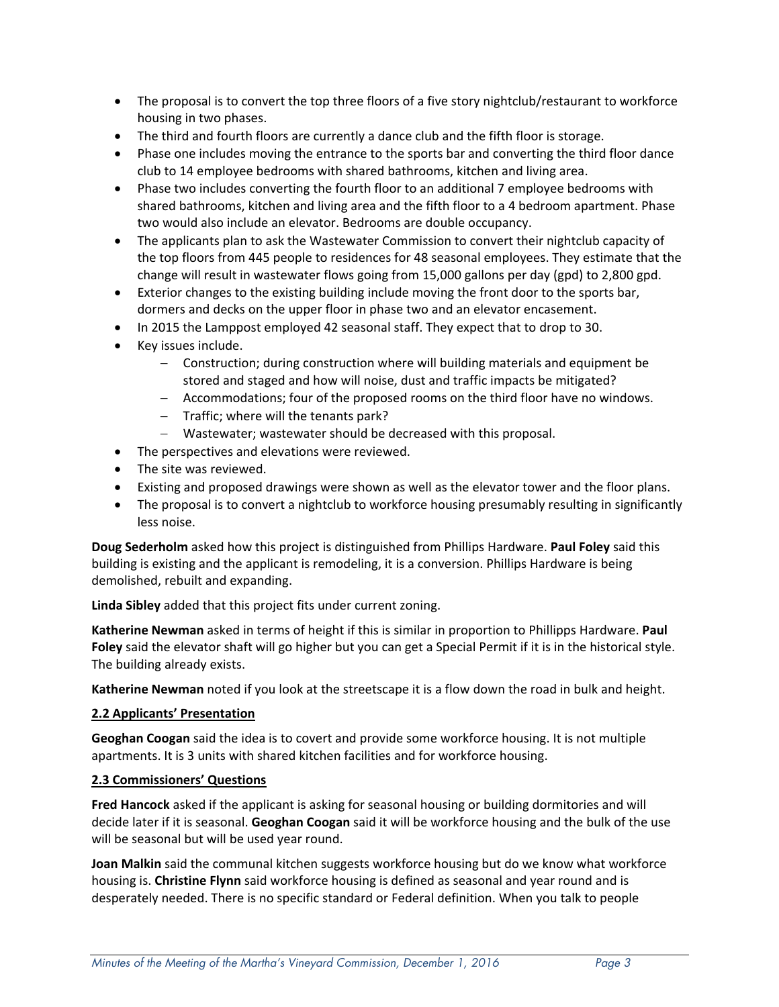- The proposal is to convert the top three floors of a five story nightclub/restaurant to workforce housing in two phases.
- The third and fourth floors are currently a dance club and the fifth floor is storage.
- Phase one includes moving the entrance to the sports bar and converting the third floor dance club to 14 employee bedrooms with shared bathrooms, kitchen and living area.
- Phase two includes converting the fourth floor to an additional 7 employee bedrooms with shared bathrooms, kitchen and living area and the fifth floor to a 4 bedroom apartment. Phase two would also include an elevator. Bedrooms are double occupancy.
- The applicants plan to ask the Wastewater Commission to convert their nightclub capacity of the top floors from 445 people to residences for 48 seasonal employees. They estimate that the change will result in wastewater flows going from 15,000 gallons per day (gpd) to 2,800 gpd.
- Exterior changes to the existing building include moving the front door to the sports bar, dormers and decks on the upper floor in phase two and an elevator encasement.
- In 2015 the Lamppost employed 42 seasonal staff. They expect that to drop to 30.
- Key issues include.
	- Construction; during construction where will building materials and equipment be stored and staged and how will noise, dust and traffic impacts be mitigated?
	- Accommodations; four of the proposed rooms on the third floor have no windows.
	- $-$  Traffic; where will the tenants park?
	- Wastewater; wastewater should be decreased with this proposal.
- The perspectives and elevations were reviewed.
- The site was reviewed.
- Existing and proposed drawings were shown as well as the elevator tower and the floor plans.
- The proposal is to convert a nightclub to workforce housing presumably resulting in significantly less noise.

**Doug Sederholm** asked how this project is distinguished from Phillips Hardware. **Paul Foley** said this building is existing and the applicant is remodeling, it is a conversion. Phillips Hardware is being demolished, rebuilt and expanding.

**Linda Sibley** added that this project fits under current zoning.

**Katherine Newman** asked in terms of height if this is similar in proportion to Phillipps Hardware. **Paul Foley** said the elevator shaft will go higher but you can get a Special Permit if it is in the historical style. The building already exists.

**Katherine Newman** noted if you look at the streetscape it is a flow down the road in bulk and height.

#### **2.2 Applicants' Presentation**

**Geoghan Coogan** said the idea is to covert and provide some workforce housing. It is not multiple apartments. It is 3 units with shared kitchen facilities and for workforce housing.

# **2.3 Commissioners' Questions**

**Fred Hancock** asked if the applicant is asking for seasonal housing or building dormitories and will decide later if it is seasonal. **Geoghan Coogan** said it will be workforce housing and the bulk of the use will be seasonal but will be used year round.

**Joan Malkin** said the communal kitchen suggests workforce housing but do we know what workforce housing is. **Christine Flynn** said workforce housing is defined as seasonal and year round and is desperately needed. There is no specific standard or Federal definition. When you talk to people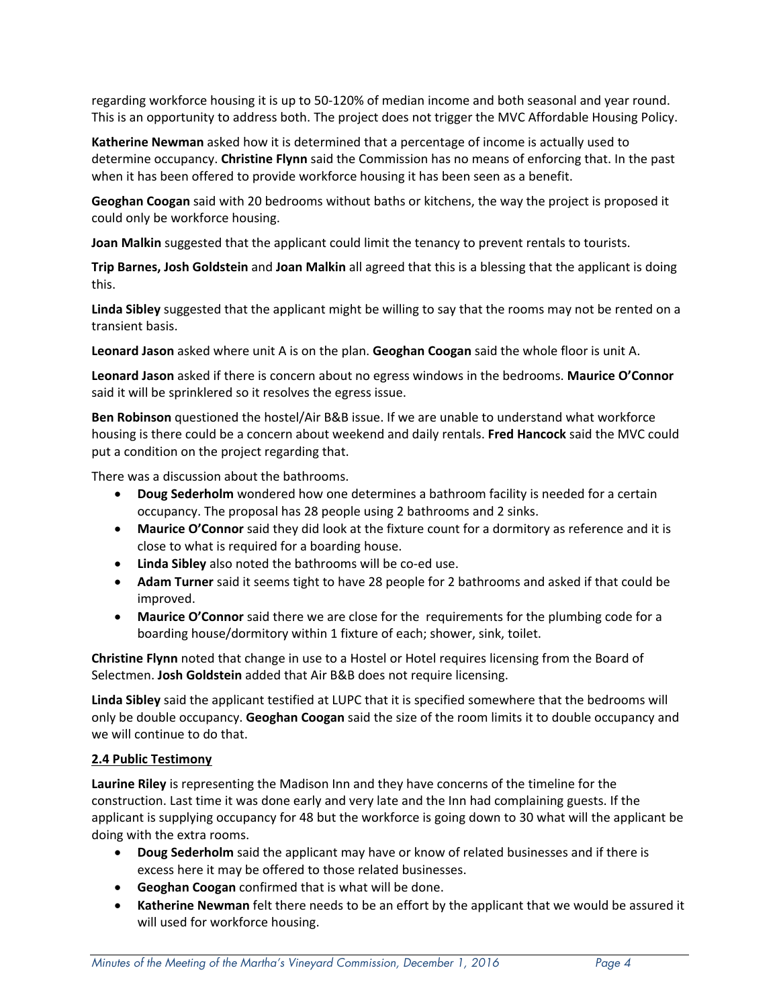regarding workforce housing it is up to 50‐120% of median income and both seasonal and year round. This is an opportunity to address both. The project does not trigger the MVC Affordable Housing Policy.

**Katherine Newman** asked how it is determined that a percentage of income is actually used to determine occupancy. **Christine Flynn** said the Commission has no means of enforcing that. In the past when it has been offered to provide workforce housing it has been seen as a benefit.

**Geoghan Coogan** said with 20 bedrooms without baths or kitchens, the way the project is proposed it could only be workforce housing.

**Joan Malkin** suggested that the applicant could limit the tenancy to prevent rentals to tourists.

**Trip Barnes, Josh Goldstein** and **Joan Malkin** all agreed that this is a blessing that the applicant is doing this.

**Linda Sibley** suggested that the applicant might be willing to say that the rooms may not be rented on a transient basis.

**Leonard Jason** asked where unit A is on the plan. **Geoghan Coogan** said the whole floor is unit A.

**Leonard Jason** asked if there is concern about no egress windows in the bedrooms. **Maurice O'Connor** said it will be sprinklered so it resolves the egress issue.

**Ben Robinson** questioned the hostel/Air B&B issue. If we are unable to understand what workforce housing is there could be a concern about weekend and daily rentals. **Fred Hancock** said the MVC could put a condition on the project regarding that.

There was a discussion about the bathrooms.

- **Doug Sederholm** wondered how one determines a bathroom facility is needed for a certain occupancy. The proposal has 28 people using 2 bathrooms and 2 sinks.
- **Maurice O'Connor** said they did look at the fixture count for a dormitory as reference and it is close to what is required for a boarding house.
- **Linda Sibley** also noted the bathrooms will be co‐ed use.
- **Adam Turner** said it seems tight to have 28 people for 2 bathrooms and asked if that could be improved.
- **Maurice O'Connor** said there we are close for the requirements for the plumbing code for a boarding house/dormitory within 1 fixture of each; shower, sink, toilet.

**Christine Flynn** noted that change in use to a Hostel or Hotel requires licensing from the Board of Selectmen. **Josh Goldstein** added that Air B&B does not require licensing.

**Linda Sibley** said the applicant testified at LUPC that it is specified somewhere that the bedrooms will only be double occupancy. **Geoghan Coogan** said the size of the room limits it to double occupancy and we will continue to do that.

#### **2.4 Public Testimony**

**Laurine Riley** is representing the Madison Inn and they have concerns of the timeline for the construction. Last time it was done early and very late and the Inn had complaining guests. If the applicant is supplying occupancy for 48 but the workforce is going down to 30 what will the applicant be doing with the extra rooms.

- **Doug Sederholm** said the applicant may have or know of related businesses and if there is excess here it may be offered to those related businesses.
- **Geoghan Coogan** confirmed that is what will be done.
- **Katherine Newman** felt there needs to be an effort by the applicant that we would be assured it will used for workforce housing.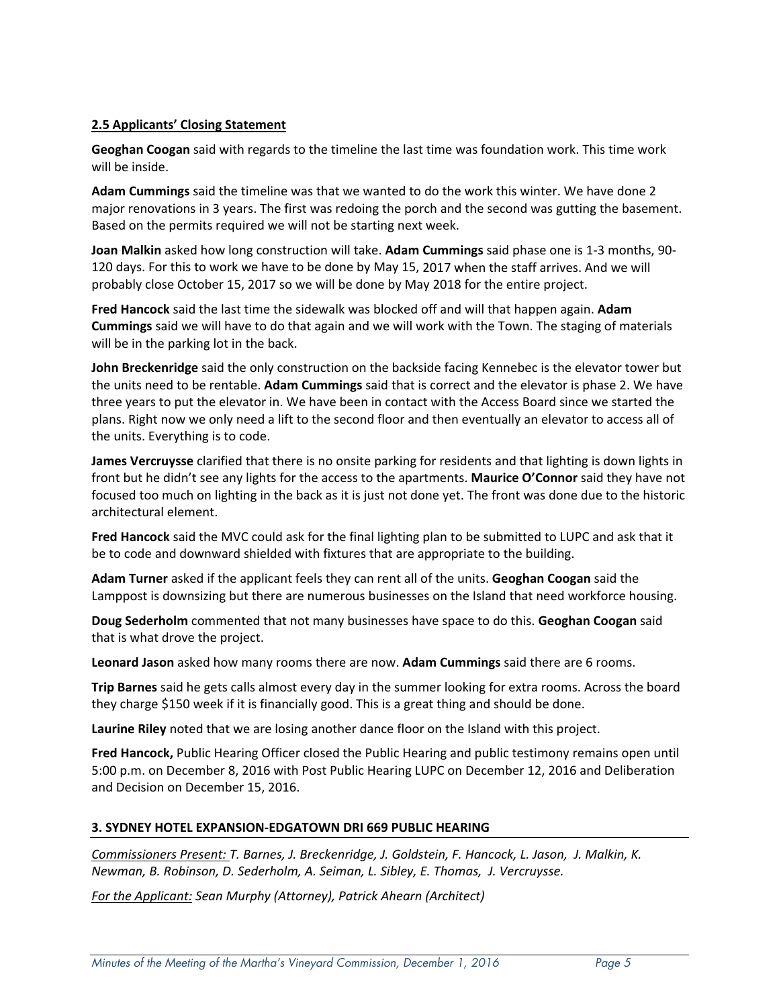### **2.5 Applicants' Closing Statement**

**Geoghan Coogan** said with regards to the timeline the last time was foundation work. This time work will be inside.

**Adam Cummings** said the timeline was that we wanted to do the work this winter. We have done 2 major renovations in 3 years. The first was redoing the porch and the second was gutting the basement. Based on the permits required we will not be starting next week.

**Joan Malkin** asked how long construction will take. **Adam Cummings** said phase one is 1‐3 months, 90‐ 120 days. For this to work we have to be done by May 15, 2017 when the staff arrives. And we will probably close October 15, 2017 so we will be done by May 2018 for the entire project.

**Fred Hancock** said the last time the sidewalk was blocked off and will that happen again. **Adam Cummings** said we will have to do that again and we will work with the Town. The staging of materials will be in the parking lot in the back.

**John Breckenridge** said the only construction on the backside facing Kennebec is the elevator tower but the units need to be rentable. **Adam Cummings** said that is correct and the elevator is phase 2. We have three years to put the elevator in. We have been in contact with the Access Board since we started the plans. Right now we only need a lift to the second floor and then eventually an elevator to access all of the units. Everything is to code.

**James Vercruysse** clarified that there is no onsite parking for residents and that lighting is down lights in front but he didn't see any lights for the access to the apartments. **Maurice O'Connor** said they have not focused too much on lighting in the back as it is just not done yet. The front was done due to the historic architectural element.

**Fred Hancock** said the MVC could ask for the final lighting plan to be submitted to LUPC and ask that it be to code and downward shielded with fixtures that are appropriate to the building.

**Adam Turner** asked if the applicant feels they can rent all of the units. **Geoghan Coogan** said the Lamppost is downsizing but there are numerous businesses on the Island that need workforce housing.

**Doug Sederholm** commented that not many businesses have space to do this. **Geoghan Coogan** said that is what drove the project.

**Leonard Jason** asked how many rooms there are now. **Adam Cummings** said there are 6 rooms.

**Trip Barnes** said he gets calls almost every day in the summer looking for extra rooms. Across the board they charge \$150 week if it is financially good. This is a great thing and should be done.

**Laurine Riley** noted that we are losing another dance floor on the Island with this project.

**Fred Hancock,** Public Hearing Officer closed the Public Hearing and public testimony remains open until 5:00 p.m. on December 8, 2016 with Post Public Hearing LUPC on December 12, 2016 and Deliberation and Decision on December 15, 2016.

#### **3. SYDNEY HOTEL EXPANSION‐EDGATOWN DRI 669 PUBLIC HEARING**

*Commissioners Present: T. Barnes, J. Breckenridge, J. Goldstein, F. Hancock, L. Jason, J. Malkin, K. Newman, B. Robinson, D. Sederholm, A. Seiman, L. Sibley, E. Thomas, J. Vercruysse.*

*For the Applicant: Sean Murphy (Attorney), Patrick Ahearn (Architect)*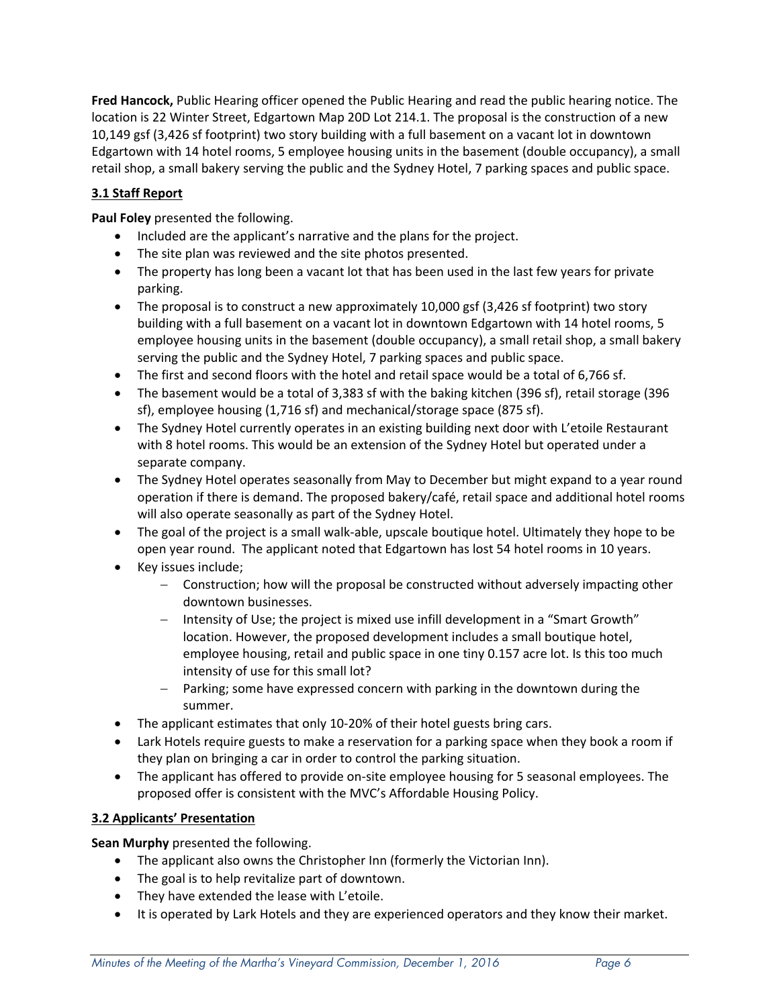**Fred Hancock,** Public Hearing officer opened the Public Hearing and read the public hearing notice. The location is 22 Winter Street, Edgartown Map 20D Lot 214.1. The proposal is the construction of a new 10,149 gsf (3,426 sf footprint) two story building with a full basement on a vacant lot in downtown Edgartown with 14 hotel rooms, 5 employee housing units in the basement (double occupancy), a small retail shop, a small bakery serving the public and the Sydney Hotel, 7 parking spaces and public space.

# **3.1 Staff Report**

**Paul Foley** presented the following.

- Included are the applicant's narrative and the plans for the project.
- The site plan was reviewed and the site photos presented.
- The property has long been a vacant lot that has been used in the last few years for private parking.
- The proposal is to construct a new approximately 10,000 gsf (3,426 sf footprint) two story building with a full basement on a vacant lot in downtown Edgartown with 14 hotel rooms, 5 employee housing units in the basement (double occupancy), a small retail shop, a small bakery serving the public and the Sydney Hotel, 7 parking spaces and public space.
- The first and second floors with the hotel and retail space would be a total of 6,766 sf.
- The basement would be a total of 3,383 sf with the baking kitchen (396 sf), retail storage (396 sf), employee housing (1,716 sf) and mechanical/storage space (875 sf).
- The Sydney Hotel currently operates in an existing building next door with L'etoile Restaurant with 8 hotel rooms. This would be an extension of the Sydney Hotel but operated under a separate company.
- The Sydney Hotel operates seasonally from May to December but might expand to a year round operation if there is demand. The proposed bakery/café, retail space and additional hotel rooms will also operate seasonally as part of the Sydney Hotel.
- The goal of the project is a small walk-able, upscale boutique hotel. Ultimately they hope to be open year round. The applicant noted that Edgartown has lost 54 hotel rooms in 10 years.
- Key issues include;
	- Construction; how will the proposal be constructed without adversely impacting other downtown businesses.
	- Intensity of Use; the project is mixed use infill development in a "Smart Growth" location. However, the proposed development includes a small boutique hotel, employee housing, retail and public space in one tiny 0.157 acre lot. Is this too much intensity of use for this small lot?
	- Parking; some have expressed concern with parking in the downtown during the summer.
- The applicant estimates that only 10-20% of their hotel guests bring cars.
- Lark Hotels require guests to make a reservation for a parking space when they book a room if they plan on bringing a car in order to control the parking situation.
- The applicant has offered to provide on‐site employee housing for 5 seasonal employees. The proposed offer is consistent with the MVC's Affordable Housing Policy.

# **3.2 Applicants' Presentation**

**Sean Murphy** presented the following.

- The applicant also owns the Christopher Inn (formerly the Victorian Inn).
- The goal is to help revitalize part of downtown.
- They have extended the lease with L'etoile.
- It is operated by Lark Hotels and they are experienced operators and they know their market.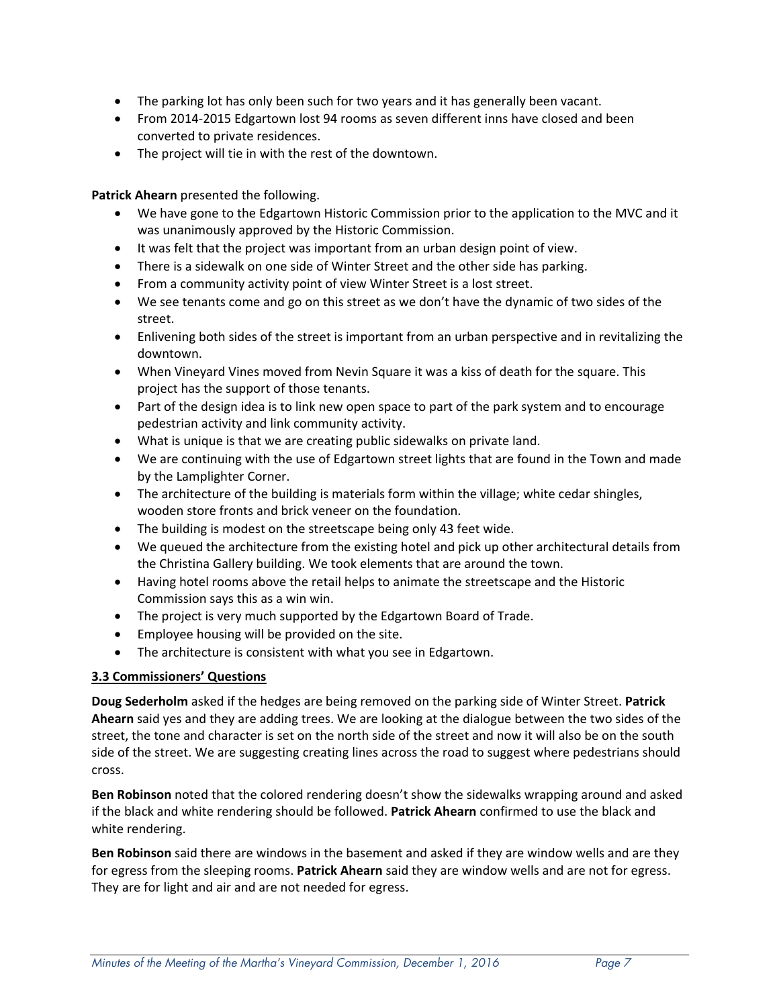- The parking lot has only been such for two years and it has generally been vacant.
- From 2014-2015 Edgartown lost 94 rooms as seven different inns have closed and been converted to private residences.
- The project will tie in with the rest of the downtown.

**Patrick Ahearn** presented the following.

- We have gone to the Edgartown Historic Commission prior to the application to the MVC and it was unanimously approved by the Historic Commission.
- It was felt that the project was important from an urban design point of view.
- There is a sidewalk on one side of Winter Street and the other side has parking.
- From a community activity point of view Winter Street is a lost street.
- We see tenants come and go on this street as we don't have the dynamic of two sides of the street.
- Enlivening both sides of the street is important from an urban perspective and in revitalizing the downtown.
- When Vineyard Vines moved from Nevin Square it was a kiss of death for the square. This project has the support of those tenants.
- Part of the design idea is to link new open space to part of the park system and to encourage pedestrian activity and link community activity.
- What is unique is that we are creating public sidewalks on private land.
- We are continuing with the use of Edgartown street lights that are found in the Town and made by the Lamplighter Corner.
- The architecture of the building is materials form within the village; white cedar shingles, wooden store fronts and brick veneer on the foundation.
- The building is modest on the streetscape being only 43 feet wide.
- We queued the architecture from the existing hotel and pick up other architectural details from the Christina Gallery building. We took elements that are around the town.
- Having hotel rooms above the retail helps to animate the streetscape and the Historic Commission says this as a win win.
- The project is very much supported by the Edgartown Board of Trade.
- Employee housing will be provided on the site.
- The architecture is consistent with what you see in Edgartown.

# **3.3 Commissioners' Questions**

**Doug Sederholm** asked if the hedges are being removed on the parking side of Winter Street. **Patrick Ahearn** said yes and they are adding trees. We are looking at the dialogue between the two sides of the street, the tone and character is set on the north side of the street and now it will also be on the south side of the street. We are suggesting creating lines across the road to suggest where pedestrians should cross.

**Ben Robinson** noted that the colored rendering doesn't show the sidewalks wrapping around and asked if the black and white rendering should be followed. **Patrick Ahearn** confirmed to use the black and white rendering.

**Ben Robinson** said there are windows in the basement and asked if they are window wells and are they for egress from the sleeping rooms. **Patrick Ahearn** said they are window wells and are not for egress. They are for light and air and are not needed for egress.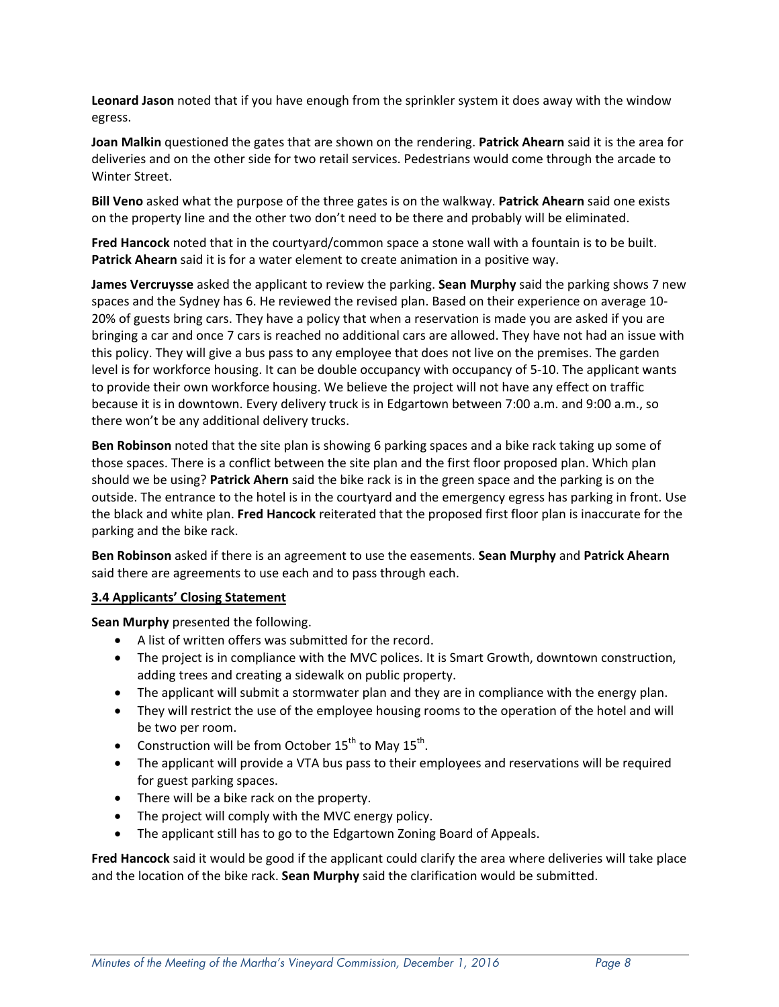**Leonard Jason** noted that if you have enough from the sprinkler system it does away with the window egress.

**Joan Malkin** questioned the gates that are shown on the rendering. **Patrick Ahearn** said it is the area for deliveries and on the other side for two retail services. Pedestrians would come through the arcade to Winter Street.

**Bill Veno** asked what the purpose of the three gates is on the walkway. **Patrick Ahearn** said one exists on the property line and the other two don't need to be there and probably will be eliminated.

**Fred Hancock** noted that in the courtyard/common space a stone wall with a fountain is to be built. **Patrick Ahearn** said it is for a water element to create animation in a positive way.

**James Vercruysse** asked the applicant to review the parking. **Sean Murphy** said the parking shows 7 new spaces and the Sydney has 6. He reviewed the revised plan. Based on their experience on average 10‐ 20% of guests bring cars. They have a policy that when a reservation is made you are asked if you are bringing a car and once 7 cars is reached no additional cars are allowed. They have not had an issue with this policy. They will give a bus pass to any employee that does not live on the premises. The garden level is for workforce housing. It can be double occupancy with occupancy of 5-10. The applicant wants to provide their own workforce housing. We believe the project will not have any effect on traffic because it is in downtown. Every delivery truck is in Edgartown between 7:00 a.m. and 9:00 a.m., so there won't be any additional delivery trucks.

**Ben Robinson** noted that the site plan is showing 6 parking spaces and a bike rack taking up some of those spaces. There is a conflict between the site plan and the first floor proposed plan. Which plan should we be using? **Patrick Ahern** said the bike rack is in the green space and the parking is on the outside. The entrance to the hotel is in the courtyard and the emergency egress has parking in front. Use the black and white plan. **Fred Hancock** reiterated that the proposed first floor plan is inaccurate for the parking and the bike rack.

**Ben Robinson** asked if there is an agreement to use the easements. **Sean Murphy** and **Patrick Ahearn** said there are agreements to use each and to pass through each.

#### **3.4 Applicants' Closing Statement**

**Sean Murphy** presented the following.

- A list of written offers was submitted for the record.
- The project is in compliance with the MVC polices. It is Smart Growth, downtown construction, adding trees and creating a sidewalk on public property.
- The applicant will submit a stormwater plan and they are in compliance with the energy plan.
- They will restrict the use of the employee housing rooms to the operation of the hotel and will be two per room.
- Construction will be from October  $15^{th}$  to May  $15^{th}$ .
- The applicant will provide a VTA bus pass to their employees and reservations will be required for guest parking spaces.
- There will be a bike rack on the property.
- The project will comply with the MVC energy policy.
- The applicant still has to go to the Edgartown Zoning Board of Appeals.

**Fred Hancock** said it would be good if the applicant could clarify the area where deliveries will take place and the location of the bike rack. **Sean Murphy** said the clarification would be submitted.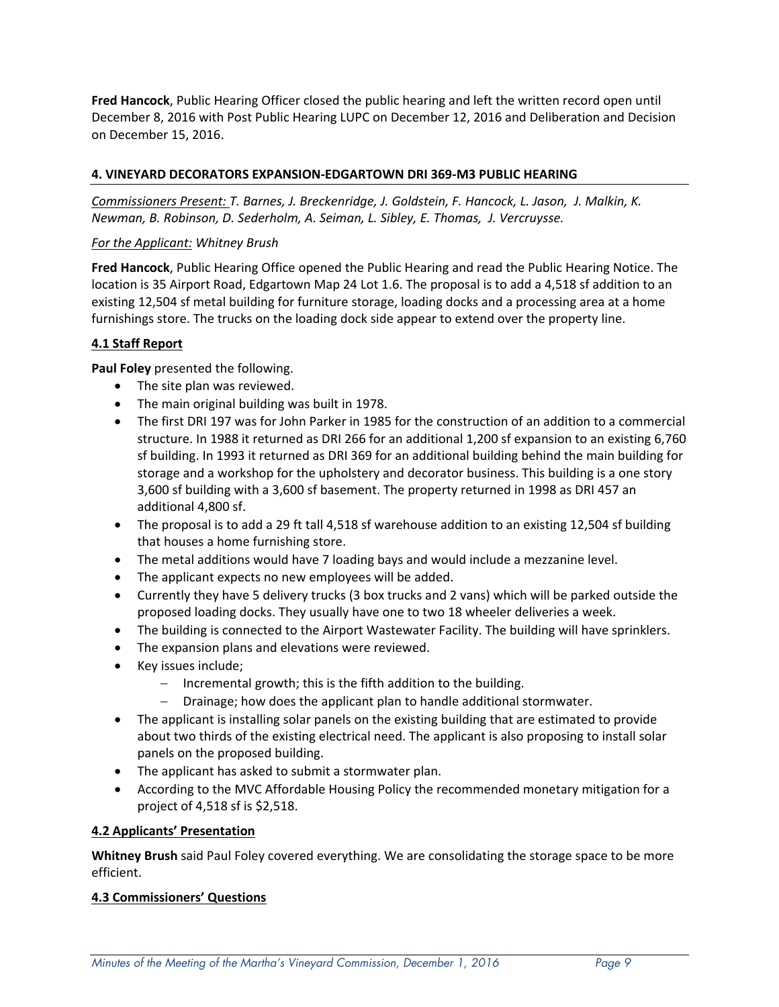**Fred Hancock**, Public Hearing Officer closed the public hearing and left the written record open until December 8, 2016 with Post Public Hearing LUPC on December 12, 2016 and Deliberation and Decision on December 15, 2016.

### **4. VINEYARD DECORATORS EXPANSION‐EDGARTOWN DRI 369‐M3 PUBLIC HEARING**

*Commissioners Present: T. Barnes, J. Breckenridge, J. Goldstein, F. Hancock, L. Jason, J. Malkin, K. Newman, B. Robinson, D. Sederholm, A. Seiman, L. Sibley, E. Thomas, J. Vercruysse.*

#### *For the Applicant: Whitney Brush*

**Fred Hancock**, Public Hearing Office opened the Public Hearing and read the Public Hearing Notice. The location is 35 Airport Road, Edgartown Map 24 Lot 1.6. The proposal is to add a 4,518 sf addition to an existing 12,504 sf metal building for furniture storage, loading docks and a processing area at a home furnishings store. The trucks on the loading dock side appear to extend over the property line.

### **4.1 Staff Report**

**Paul Foley** presented the following.

- The site plan was reviewed.
- The main original building was built in 1978.
- The first DRI 197 was for John Parker in 1985 for the construction of an addition to a commercial structure. In 1988 it returned as DRI 266 for an additional 1,200 sf expansion to an existing 6,760 sf building. In 1993 it returned as DRI 369 for an additional building behind the main building for storage and a workshop for the upholstery and decorator business. This building is a one story 3,600 sf building with a 3,600 sf basement. The property returned in 1998 as DRI 457 an additional 4,800 sf.
- The proposal is to add a 29 ft tall 4,518 sf warehouse addition to an existing 12,504 sf building that houses a home furnishing store.
- The metal additions would have 7 loading bays and would include a mezzanine level.
- The applicant expects no new employees will be added.
- Currently they have 5 delivery trucks (3 box trucks and 2 vans) which will be parked outside the proposed loading docks. They usually have one to two 18 wheeler deliveries a week.
- The building is connected to the Airport Wastewater Facility. The building will have sprinklers.
- The expansion plans and elevations were reviewed.
- Key issues include;
	- $-$  Incremental growth; this is the fifth addition to the building.
	- $-$  Drainage; how does the applicant plan to handle additional stormwater.
- The applicant is installing solar panels on the existing building that are estimated to provide about two thirds of the existing electrical need. The applicant is also proposing to install solar panels on the proposed building.
- The applicant has asked to submit a stormwater plan.
- According to the MVC Affordable Housing Policy the recommended monetary mitigation for a project of 4,518 sf is \$2,518.

#### **4.2 Applicants' Presentation**

**Whitney Brush** said Paul Foley covered everything. We are consolidating the storage space to be more efficient.

#### **4.3 Commissioners' Questions**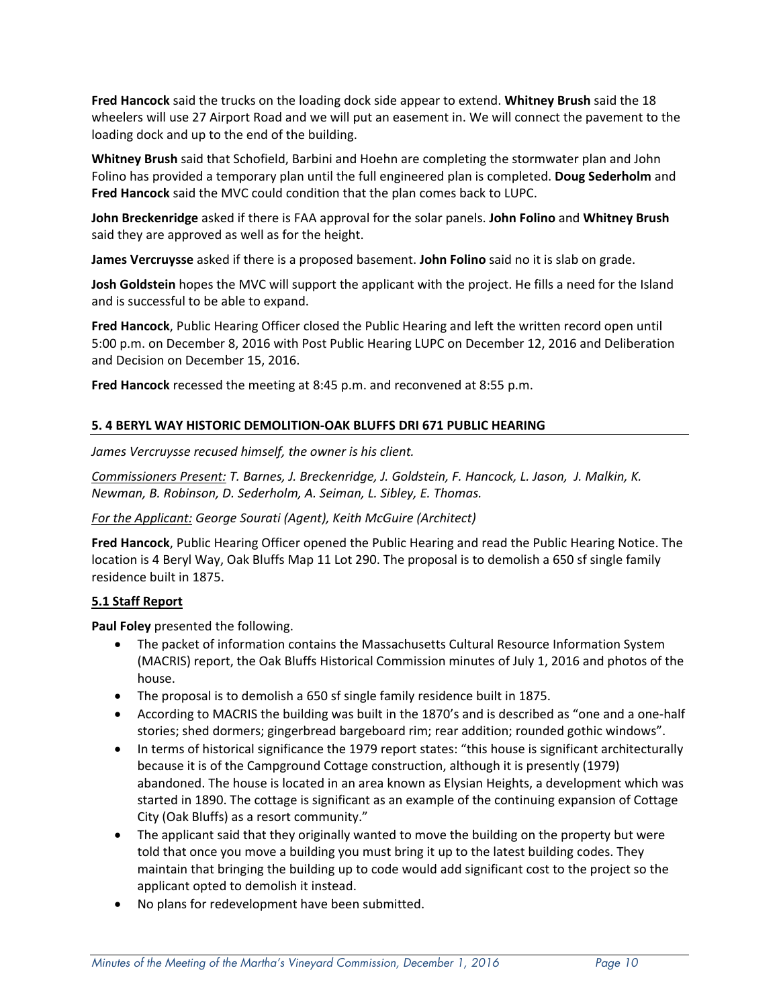**Fred Hancock** said the trucks on the loading dock side appear to extend. **Whitney Brush** said the 18 wheelers will use 27 Airport Road and we will put an easement in. We will connect the pavement to the loading dock and up to the end of the building.

**Whitney Brush** said that Schofield, Barbini and Hoehn are completing the stormwater plan and John Folino has provided a temporary plan until the full engineered plan is completed. **Doug Sederholm** and **Fred Hancock** said the MVC could condition that the plan comes back to LUPC.

**John Breckenridge** asked if there is FAA approval for the solar panels. **John Folino** and **Whitney Brush** said they are approved as well as for the height.

**James Vercruysse** asked if there is a proposed basement. **John Folino** said no it is slab on grade.

**Josh Goldstein** hopes the MVC will support the applicant with the project. He fills a need for the Island and is successful to be able to expand.

**Fred Hancock**, Public Hearing Officer closed the Public Hearing and left the written record open until 5:00 p.m. on December 8, 2016 with Post Public Hearing LUPC on December 12, 2016 and Deliberation and Decision on December 15, 2016.

**Fred Hancock** recessed the meeting at 8:45 p.m. and reconvened at 8:55 p.m.

# **5. 4 BERYL WAY HISTORIC DEMOLITION‐OAK BLUFFS DRI 671 PUBLIC HEARING**

*James Vercruysse recused himself, the owner is his client.*

*Commissioners Present: T. Barnes, J. Breckenridge, J. Goldstein, F. Hancock, L. Jason, J. Malkin, K. Newman, B. Robinson, D. Sederholm, A. Seiman, L. Sibley, E. Thomas.*

#### *For the Applicant: George Sourati (Agent), Keith McGuire (Architect)*

**Fred Hancock**, Public Hearing Officer opened the Public Hearing and read the Public Hearing Notice. The location is 4 Beryl Way, Oak Bluffs Map 11 Lot 290. The proposal is to demolish a 650 sf single family residence built in 1875.

#### **5.1 Staff Report**

**Paul Foley** presented the following.

- The packet of information contains the Massachusetts Cultural Resource Information System (MACRIS) report, the Oak Bluffs Historical Commission minutes of July 1, 2016 and photos of the house.
- The proposal is to demolish a 650 sf single family residence built in 1875.
- According to MACRIS the building was built in the 1870's and is described as "one and a one-half stories; shed dormers; gingerbread bargeboard rim; rear addition; rounded gothic windows".
- In terms of historical significance the 1979 report states: "this house is significant architecturally because it is of the Campground Cottage construction, although it is presently (1979) abandoned. The house is located in an area known as Elysian Heights, a development which was started in 1890. The cottage is significant as an example of the continuing expansion of Cottage City (Oak Bluffs) as a resort community."
- The applicant said that they originally wanted to move the building on the property but were told that once you move a building you must bring it up to the latest building codes. They maintain that bringing the building up to code would add significant cost to the project so the applicant opted to demolish it instead.
- No plans for redevelopment have been submitted.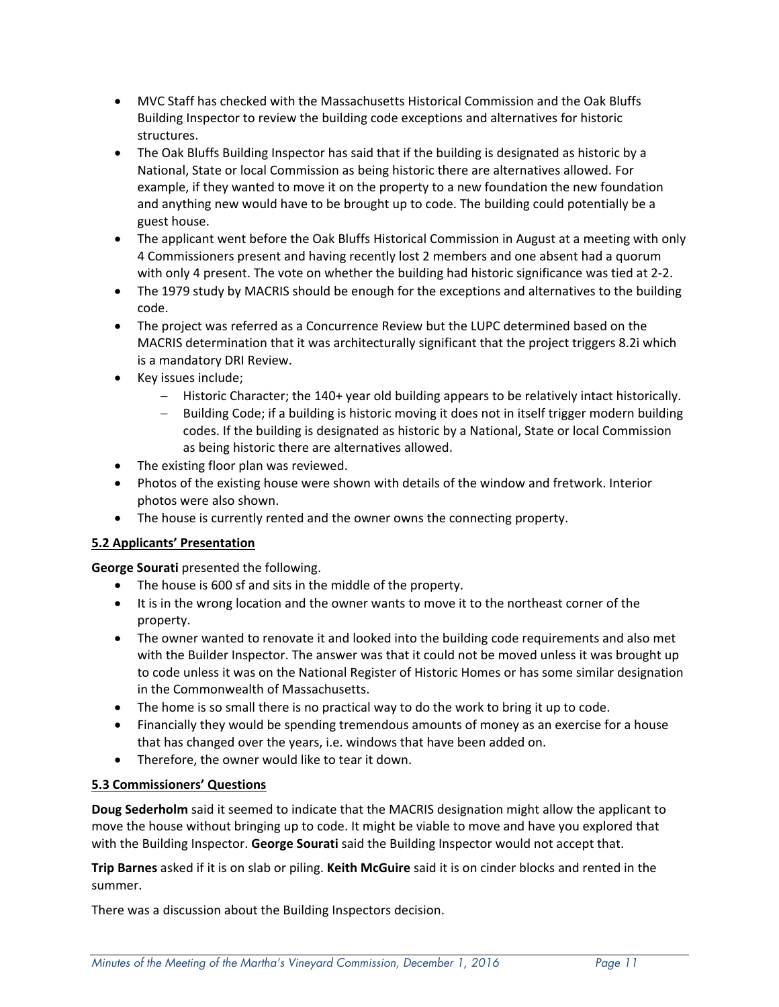- MVC Staff has checked with the Massachusetts Historical Commission and the Oak Bluffs Building Inspector to review the building code exceptions and alternatives for historic structures.
- The Oak Bluffs Building Inspector has said that if the building is designated as historic by a National, State or local Commission as being historic there are alternatives allowed. For example, if they wanted to move it on the property to a new foundation the new foundation and anything new would have to be brought up to code. The building could potentially be a guest house.
- The applicant went before the Oak Bluffs Historical Commission in August at a meeting with only 4 Commissioners present and having recently lost 2 members and one absent had a quorum with only 4 present. The vote on whether the building had historic significance was tied at 2-2.
- The 1979 study by MACRIS should be enough for the exceptions and alternatives to the building code.
- The project was referred as a Concurrence Review but the LUPC determined based on the MACRIS determination that it was architecturally significant that the project triggers 8.2i which is a mandatory DRI Review.
- Key issues include;
	- Historic Character; the 140+ year old building appears to be relatively intact historically.
	- Building Code; if a building is historic moving it does not in itself trigger modern building codes. If the building is designated as historic by a National, State or local Commission as being historic there are alternatives allowed.
- The existing floor plan was reviewed.
- Photos of the existing house were shown with details of the window and fretwork. Interior photos were also shown.
- The house is currently rented and the owner owns the connecting property.

# **5.2 Applicants' Presentation**

**George Sourati** presented the following.

- The house is 600 sf and sits in the middle of the property.
- It is in the wrong location and the owner wants to move it to the northeast corner of the property.
- The owner wanted to renovate it and looked into the building code requirements and also met with the Builder Inspector. The answer was that it could not be moved unless it was brought up to code unless it was on the National Register of Historic Homes or has some similar designation in the Commonwealth of Massachusetts.
- The home is so small there is no practical way to do the work to bring it up to code.
- Financially they would be spending tremendous amounts of money as an exercise for a house that has changed over the years, i.e. windows that have been added on.
- Therefore, the owner would like to tear it down.

# **5.3 Commissioners' Questions**

**Doug Sederholm** said it seemed to indicate that the MACRIS designation might allow the applicant to move the house without bringing up to code. It might be viable to move and have you explored that with the Building Inspector. **George Sourati** said the Building Inspector would not accept that.

**Trip Barnes** asked if it is on slab or piling. **Keith McGuire** said it is on cinder blocks and rented in the summer.

There was a discussion about the Building Inspectors decision.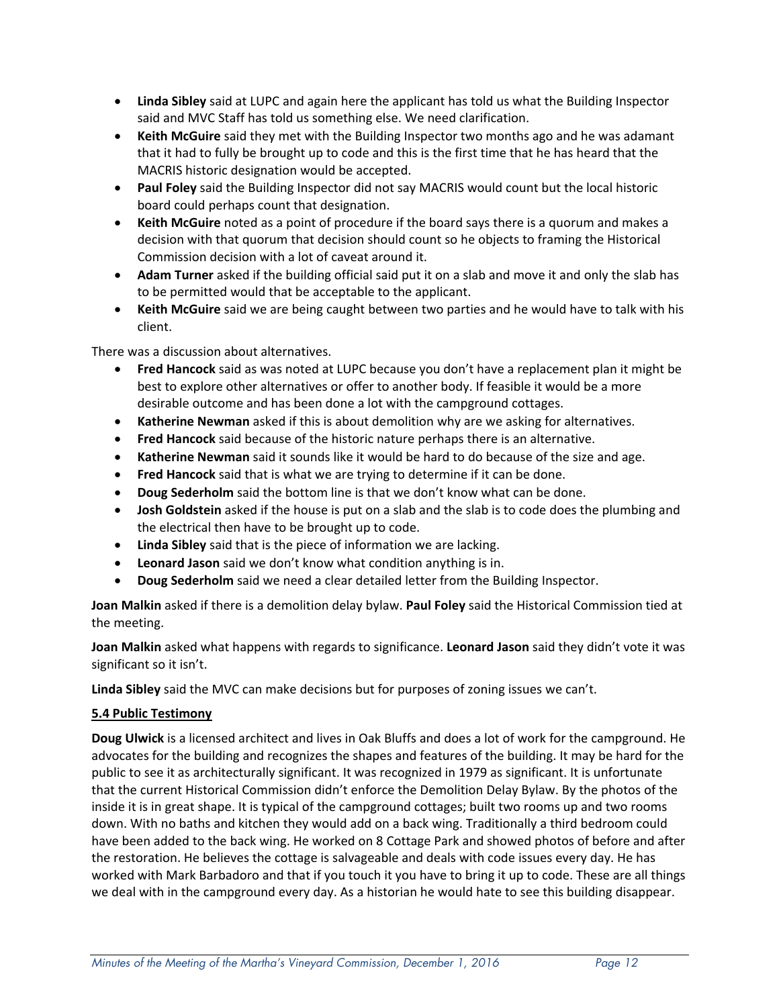- **Linda Sibley** said at LUPC and again here the applicant has told us what the Building Inspector said and MVC Staff has told us something else. We need clarification.
- **Keith McGuire** said they met with the Building Inspector two months ago and he was adamant that it had to fully be brought up to code and this is the first time that he has heard that the MACRIS historic designation would be accepted.
- **Paul Foley** said the Building Inspector did not say MACRIS would count but the local historic board could perhaps count that designation.
- **Keith McGuire** noted as a point of procedure if the board says there is a quorum and makes a decision with that quorum that decision should count so he objects to framing the Historical Commission decision with a lot of caveat around it.
- **Adam Turner** asked if the building official said put it on a slab and move it and only the slab has to be permitted would that be acceptable to the applicant.
- **Keith McGuire** said we are being caught between two parties and he would have to talk with his client.

There was a discussion about alternatives.

- **Fred Hancock** said as was noted at LUPC because you don't have a replacement plan it might be best to explore other alternatives or offer to another body. If feasible it would be a more desirable outcome and has been done a lot with the campground cottages.
- **Katherine Newman** asked if this is about demolition why are we asking for alternatives.
- **Fred Hancock** said because of the historic nature perhaps there is an alternative.
- **Katherine Newman** said it sounds like it would be hard to do because of the size and age.
- **Fred Hancock** said that is what we are trying to determine if it can be done.
- **Doug Sederholm** said the bottom line is that we don't know what can be done.
- **Josh Goldstein** asked if the house is put on a slab and the slab is to code does the plumbing and the electrical then have to be brought up to code.
- **Linda Sibley** said that is the piece of information we are lacking.
- **Leonard Jason** said we don't know what condition anything is in.
- **Doug Sederholm** said we need a clear detailed letter from the Building Inspector.

**Joan Malkin** asked if there is a demolition delay bylaw. **Paul Foley** said the Historical Commission tied at the meeting.

**Joan Malkin** asked what happens with regards to significance. **Leonard Jason** said they didn't vote it was significant so it isn't.

**Linda Sibley** said the MVC can make decisions but for purposes of zoning issues we can't.

#### **5.4 Public Testimony**

**Doug Ulwick** is a licensed architect and lives in Oak Bluffs and does a lot of work for the campground. He advocates for the building and recognizes the shapes and features of the building. It may be hard for the public to see it as architecturally significant. It was recognized in 1979 as significant. It is unfortunate that the current Historical Commission didn't enforce the Demolition Delay Bylaw. By the photos of the inside it is in great shape. It is typical of the campground cottages; built two rooms up and two rooms down. With no baths and kitchen they would add on a back wing. Traditionally a third bedroom could have been added to the back wing. He worked on 8 Cottage Park and showed photos of before and after the restoration. He believes the cottage is salvageable and deals with code issues every day. He has worked with Mark Barbadoro and that if you touch it you have to bring it up to code. These are all things we deal with in the campground every day. As a historian he would hate to see this building disappear.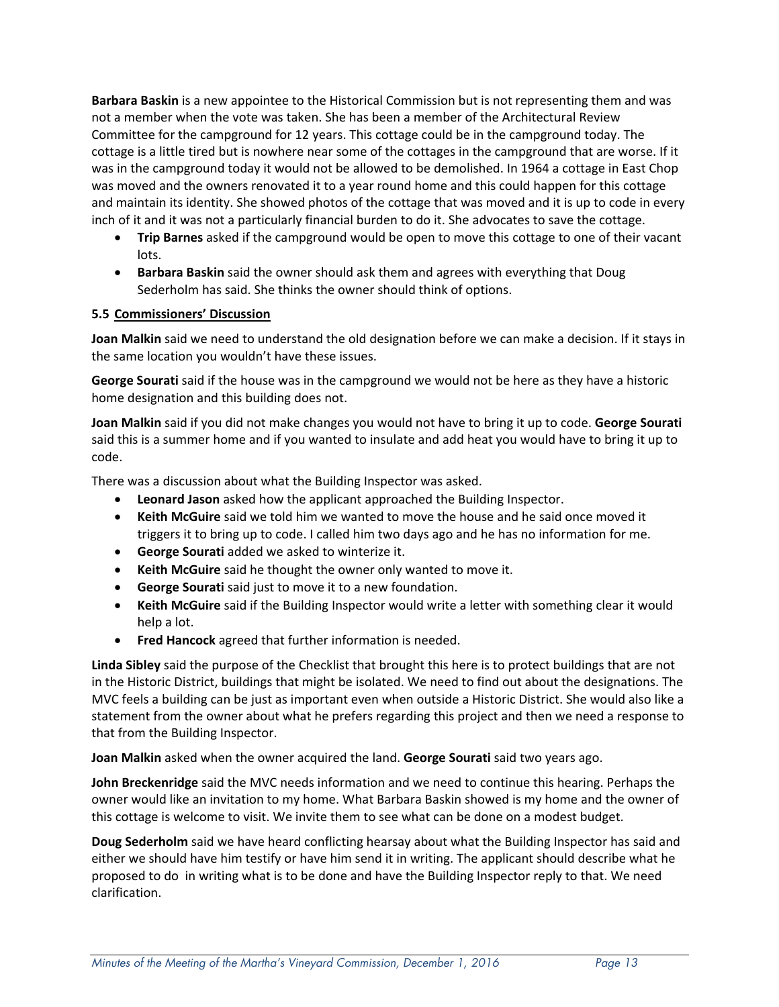**Barbara Baskin** is a new appointee to the Historical Commission but is not representing them and was not a member when the vote was taken. She has been a member of the Architectural Review Committee for the campground for 12 years. This cottage could be in the campground today. The cottage is a little tired but is nowhere near some of the cottages in the campground that are worse. If it was in the campground today it would not be allowed to be demolished. In 1964 a cottage in East Chop was moved and the owners renovated it to a year round home and this could happen for this cottage and maintain its identity. She showed photos of the cottage that was moved and it is up to code in every inch of it and it was not a particularly financial burden to do it. She advocates to save the cottage.

- **Trip Barnes** asked if the campground would be open to move this cottage to one of their vacant lots.
- **Barbara Baskin** said the owner should ask them and agrees with everything that Doug Sederholm has said. She thinks the owner should think of options.

### **5.5 Commissioners' Discussion**

**Joan Malkin** said we need to understand the old designation before we can make a decision. If it stays in the same location you wouldn't have these issues.

**George Sourati** said if the house was in the campground we would not be here as they have a historic home designation and this building does not.

**Joan Malkin** said if you did not make changes you would not have to bring it up to code. **George Sourati** said this is a summer home and if you wanted to insulate and add heat you would have to bring it up to code.

There was a discussion about what the Building Inspector was asked.

- **Leonard Jason** asked how the applicant approached the Building Inspector.
- **Keith McGuire** said we told him we wanted to move the house and he said once moved it triggers it to bring up to code. I called him two days ago and he has no information for me.
- **George Sourati** added we asked to winterize it.
- **Keith McGuire** said he thought the owner only wanted to move it.
- **George Sourati** said just to move it to a new foundation.
- **Keith McGuire** said if the Building Inspector would write a letter with something clear it would help a lot.
- **Fred Hancock** agreed that further information is needed.

**Linda Sibley** said the purpose of the Checklist that brought this here is to protect buildings that are not in the Historic District, buildings that might be isolated. We need to find out about the designations. The MVC feels a building can be just as important even when outside a Historic District. She would also like a statement from the owner about what he prefers regarding this project and then we need a response to that from the Building Inspector.

**Joan Malkin** asked when the owner acquired the land. **George Sourati** said two years ago.

**John Breckenridge** said the MVC needs information and we need to continue this hearing. Perhaps the owner would like an invitation to my home. What Barbara Baskin showed is my home and the owner of this cottage is welcome to visit. We invite them to see what can be done on a modest budget.

**Doug Sederholm** said we have heard conflicting hearsay about what the Building Inspector has said and either we should have him testify or have him send it in writing. The applicant should describe what he proposed to do in writing what is to be done and have the Building Inspector reply to that. We need clarification.